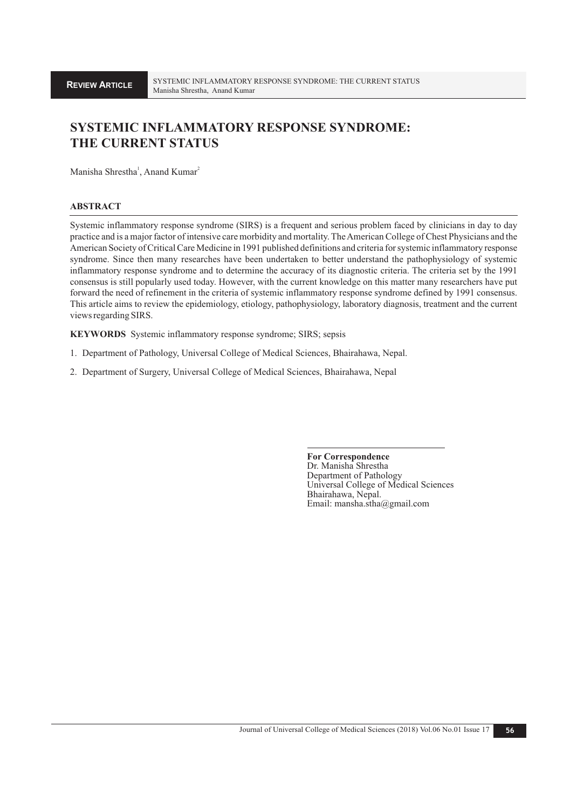# **SYSTEMIC INFLAMMATORY RESPONSE SYNDROME: THE CURRENT STATUS**

Manisha Shrestha<sup>1</sup>, Anand Kumar<sup>2</sup>

# **ABSTRACT**

Systemic inflammatory response syndrome (SIRS) is a frequent and serious problem faced by clinicians in day to day practice and is a major factor of intensive care morbidity and mortality. The American College of Chest Physicians and the American Society of Critical Care Medicine in 1991 published definitions and criteria for systemic inflammatory response syndrome. Since then many researches have been undertaken to better understand the pathophysiology of systemic inflammatory response syndrome and to determine the accuracy of its diagnostic criteria. The criteria set by the 1991 consensus is still popularly used today. However, with the current knowledge on this matter many researchers have put forward the need of refinement in the criteria of systemic inflammatory response syndrome defined by 1991 consensus. This article aims to review the epidemiology, etiology, pathophysiology, laboratory diagnosis, treatment and the current views regarding SIRS.

**KEYWORDS** Systemic inflammatory response syndrome; SIRS; sepsis

- 1. Department of Pathology, Universal College of Medical Sciences, Bhairahawa, Nepal.
- 2. Department of Surgery, Universal College of Medical Sciences, Bhairahawa, Nepal

**For Correspondence** Dr. Manisha Shrestha Department of Pathology Universal College of Medical Sciences Bhairahawa, Nepal. Email: mansha.stha@gmail.com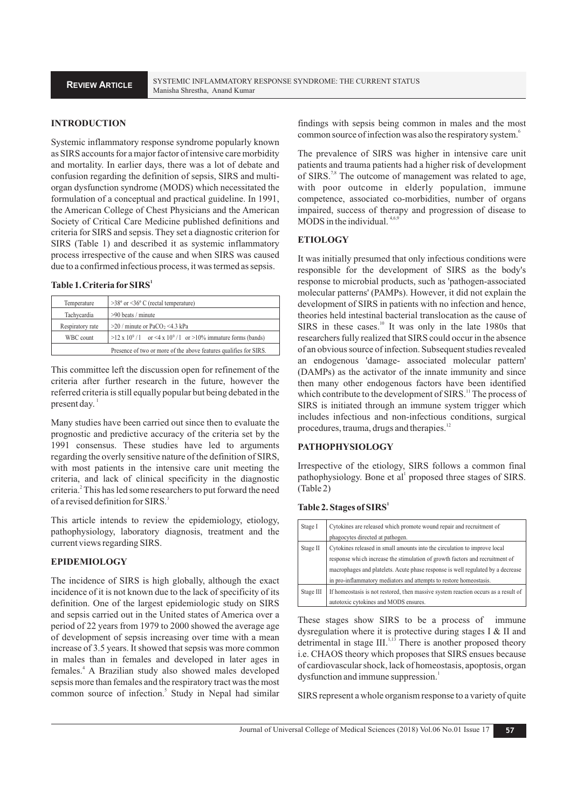#### **INTRODUCTION**

Systemic inflammatory response syndrome popularly known as SIRS accounts for a major factor of intensive care morbidity and mortality. In earlier days, there was a lot of debate and confusion regarding the definition of sepsis, SIRS and multiorgan dysfunction syndrome (MODS) which necessitated the formulation of a conceptual and practical guideline. In 1991, the American College of Chest Physicians and the American Society of Critical Care Medicine published definitions and criteria for SIRS and sepsis. They set a diagnostic criterion for SIRS (Table 1) and described it as systemic inflammatory process irrespective of the cause and when SIRS was caused due to a confirmed infectious process, it was termed as sepsis.

#### **<sup>1</sup> Table 1.Criteria forSIRS**

| Temperature      | $>38^{\circ}$ or $<36^{\circ}$ C (rectal temperature)                         |  |  |  |  |
|------------------|-------------------------------------------------------------------------------|--|--|--|--|
| Tachycardia      | >90 beats / minute                                                            |  |  |  |  |
| Respiratory rate | $>$ 20 / minute or PaCO <sub>2</sub> <4.3 kPa                                 |  |  |  |  |
| WBC count        | $>12 \times 10^9/1$ or <4 x 10 <sup>9</sup> /1 or >10% immature forms (bands) |  |  |  |  |
|                  | Presence of two or more of the above features qualifies for SIRS.             |  |  |  |  |

This committee left the discussion open for refinement of the criteria after further research in the future, however the referred criteria is still equally popular but being debated in the present day.<sup>1</sup>

Many studies have been carried out since then to evaluate the prognostic and predictive accuracy of the criteria set by the 1991 consensus. These studies have led to arguments regarding the overly sensitive nature of the definition of SIRS, with most patients in the intensive care unit meeting the criteria, and lack of clinical specificity in the diagnostic criteria.<sup>2</sup> This has led some researchers to put forward the need of a revised definition for SIRS.<sup>3</sup>

This article intends to review the epidemiology, etiology, pathophysiology, laboratory diagnosis, treatment and the current views regarding SIRS.

### **EPIDEMIOLOGY**

The incidence of SIRS is high globally, although the exact incidence of it is not known due to the lack of specificity of its definition. One of the largest epidemiologic study on SIRS and sepsis carried out in the United states of America over a period of 22 years from 1979 to 2000 showed the average age of development of sepsis increasing over time with a mean increase of 3.5 years. It showed that sepsis was more common in males than in females and developed in later ages in females.<sup>4</sup> A Brazilian study also showed males developed sepsis more than females and the respiratory tract was the most common source of infection.<sup>5</sup> Study in Nepal had similar findings with sepsis being common in males and the most common source of infection was also the respiratory system.<sup>6</sup>

The prevalence of SIRS was higher in intensive care unit patients and trauma patients had a higher risk of development of SIRS.<sup>7,8</sup> The outcome of management was related to age, with poor outcome in elderly population, immune competence, associated co-morbidities, number of organs impaired, success of therapy and progression of disease to MODS in the individual. 4,6,9

#### **ETIOLOGY**

It was initially presumed that only infectious conditions were responsible for the development of SIRS as the body's response to microbial products, such as 'pathogen-associated molecular patterns' (PAMPs). However, it did not explain the development of SIRS in patients with no infection and hence, theories held intestinal bacterial translocation as the cause of SIRS in these cases.<sup>10</sup> It was only in the late 1980s that researchers fully realized that SIRS could occur in the absence of an obvious source of infection. Subsequent studies revealed an endogenous 'damage- associated molecular pattern' (DAMPs) as the activator of the innate immunity and since then many other endogenous factors have been identified which contribute to the development of SIRS.<sup>11</sup> The process of SIRS is initiated through an immune system trigger which includes infectious and non-infectious conditions, surgical procedures, trauma, drugs and therapies.<sup>12</sup>

#### **PATHOPHYSIOLOGY**

Irrespective of the etiology, SIRS follows a common final pathophysiology. Bone et al' proposed three stages of SIRS. (Table 2)

#### **<sup>1</sup> Table 2. Stages of SIRS**

| Stage I   | Cytokines are released which promote wound repair and recruitment of               |  |  |  |
|-----------|------------------------------------------------------------------------------------|--|--|--|
|           | phagocytes directed at pathogen.                                                   |  |  |  |
| Stage II  | Cytokines released in small amounts into the circulation to improve local          |  |  |  |
|           | response whi ch increase the stimulation of growth factors and recruitment of      |  |  |  |
|           | macrophages and platelets. Acute phase response is well regulated by a decrease    |  |  |  |
|           | in pro-inflammatory mediators and attempts to restore homeostasis.                 |  |  |  |
| Stage III | If homeostasis is not restored, then massive system reaction occurs as a result of |  |  |  |
|           | autotoxic cytokines and MODS ensures.                                              |  |  |  |

These stages show SIRS to be a process of immune dysregulation where it is protective during stages I & II and detrimental in stage III.<sup>1,13</sup> There is another proposed theory i.e. CHAOS theory which proposes that SIRS ensues because of cardiovascular shock, lack of homeostasis, apoptosis, organ dysfunction and immune suppression.<sup>1</sup>

SIRS represent a whole organism response to a variety of quite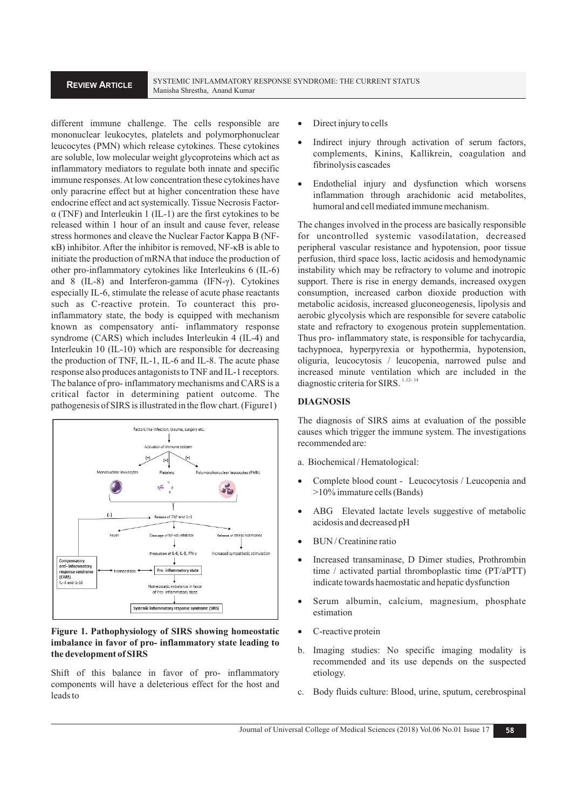different immune challenge. The cells responsible are mononuclear leukocytes, platelets and polymorphonuclear leucocytes (PMN) which release cytokines. These cytokines are soluble, low molecular weight glycoproteins which act as inflammatory mediators to regulate both innate and specific immune responses. At low concentration these cytokines have only paracrine effect but at higher concentration these have endocrine effect and act systemically. Tissue Necrosis Factorα (TNF) and Interleukin 1 (IL-1) are the first cytokines to be released within 1 hour of an insult and cause fever, release stress hormones and cleave the Nuclear Factor Kappa B (NFκB) inhibitor. After the inhibitor is removed, NF-κB is able to initiate the production of mRNA that induce the production of other pro-inflammatory cytokines like Interleukins 6 (IL-6) and 8 (IL-8) and Interferon-gamma (IFN-γ). Cytokines especially IL-6, stimulate the release of acute phase reactants such as C-reactive protein. To counteract this proinflammatory state, the body is equipped with mechanism known as compensatory anti- inflammatory response syndrome (CARS) which includes Interleukin 4 (IL-4) and Interleukin 10 (IL-10) which are responsible for decreasing the production of TNF, IL-1, IL-6 and IL-8. The acute phase response also produces antagonists to TNF and IL-1 receptors. The balance of pro- inflammatory mechanisms and CARS is a critical factor in determining patient outcome. The pathogenesis of SIRS is illustrated in the flow chart. (Figure1)



**Figure 1. Pathophysiology of SIRS showing homeostatic imbalance in favor of pro- inflammatory state leading to the development of SIRS**

Shift of this balance in favor of pro- inflammatory components will have a deleterious effect for the host and leads to

- Direct injury to cells
- Indirect injury through activation of serum factors, complements, Kinins, Kallikrein, coagulation and fibrinolysis cascades
- Endothelial injury and dysfunction which worsens inflammation through arachidonic acid metabolites, humoral and cell mediated immune mechanism.

The changes involved in the process are basically responsible for uncontrolled systemic vasodilatation, decreased peripheral vascular resistance and hypotension, poor tissue perfusion, third space loss, lactic acidosis and hemodynamic instability which may be refractory to volume and inotropic support. There is rise in energy demands, increased oxygen consumption, increased carbon dioxide production with metabolic acidosis, increased gluconeogenesis, lipolysis and aerobic glycolysis which are responsible for severe catabolic state and refractory to exogenous protein supplementation. Thus pro- inflammatory state, is responsible for tachycardia, tachypnoea, hyperpyrexia or hypothermia, hypotension, oliguria, leucocytosis / leucopenia, narrowed pulse and increased minute ventilation which are included in the diagnostic criteria for SIRS.  $^{1,12-14}$ 

# **DIAGNOSIS**

The diagnosis of SIRS aims at evaluation of the possible causes which trigger the immune system. The investigations recommended are:

- a. Biochemical / Hematological:
- Complete blood count Leucocytosis / Leucopenia and >10% immature cells (Bands)
- ABG Elevated lactate levels suggestive of metabolic acidosis and decreased pH
- BUN / Creatinine ratio
- Increased transaminase, D Dimer studies, Prothrombin time / activated partial thromboplastic time (PT/aPTT) indicate towards haemostatic and hepatic dysfunction
- Serum albumin, calcium, magnesium, phosphate estimation
- C-reactive protein
- b. Imaging studies: No specific imaging modality is recommended and its use depends on the suspected etiology.
- c. Body fluids culture: Blood, urine, sputum, cerebrospinal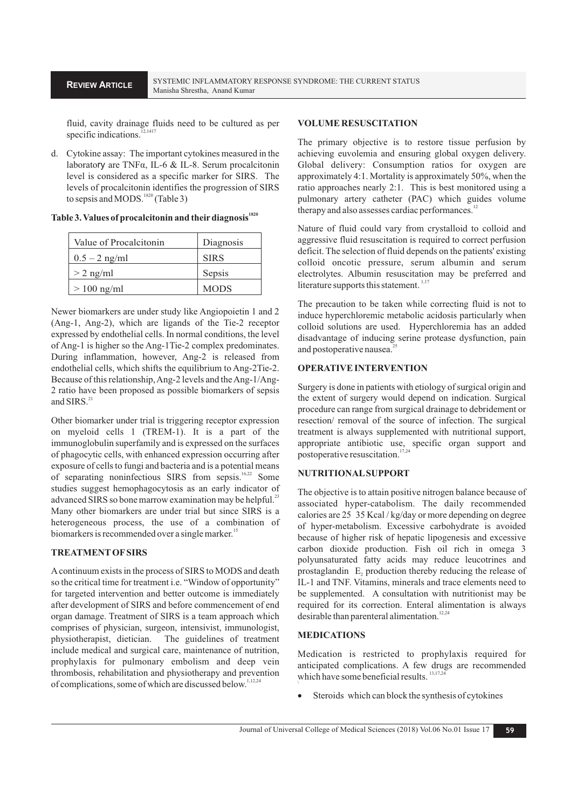fluid, cavity drainage fluids need to be cultured as per specific indications.<sup>12,1417</sup>

d. Cytokine assay: The important cytokines measured in the laboratory are TNFα, IL-6 & IL-8. Serum procalcitonin level is considered as a specific marker for SIRS. The levels of procalcitonin identifies the progression of SIRS to sepsis and MODS.  $1820$  (Table 3)

| Table 3. Values of procalcitonin and their diagnosis <sup>1820</sup> |  |  |  |
|----------------------------------------------------------------------|--|--|--|
|                                                                      |  |  |  |

| Value of Procalcitonin | Diagnosis   |
|------------------------|-------------|
| $0.5 - 2$ ng/ml        | <b>SIRS</b> |
| $> 2$ ng/ml            | Sepsis      |
| $> 100$ ng/ml          | <b>MODS</b> |

Newer biomarkers are under study like Angiopoietin 1 and 2 (Ang-1, Ang-2), which are ligands of the Tie-2 receptor expressed by endothelial cells. In normal conditions, the level of Ang-1 is higher so the Ang-1Tie-2 complex predominates. During inflammation, however, Ang-2 is released from endothelial cells, which shifts the equilibrium to Ang-2Tie-2. Because of this relationship, Ang-2 levels and the Ang-1/Ang-2 ratio have been proposed as possible biomarkers of sepsis and SIRS.<sup>21</sup>

Other biomarker under trial is triggering receptor expression on myeloid cells 1 (TREM-1). It is a part of the immunoglobulin superfamily and is expressed on the surfaces of phagocytic cells, with enhanced expression occurring after exposure of cells to fungi and bacteria and is a potential means of separating noninfectious SIRS from sepsis. Some studies suggest hemophagocytosis as an early indicator of advanced SIRS so bone marrow examination may be helpful.<sup>23</sup> Many other biomarkers are under trial but since SIRS is a heterogeneous process, the use of a combination of biomarkers is recommended over a single marker.<sup>15</sup>

#### **TREATMENTOFSIRS**

Acontinuum exists in the process of SIRS to MODS and death so the critical time for treatment i.e. "Window of opportunity" for targeted intervention and better outcome is immediately after development of SIRS and before commencement of end organ damage. Treatment of SIRS is a team approach which comprises of physician, surgeon, intensivist, immunologist, physiotherapist, dietician. The guidelines of treatment include medical and surgical care, maintenance of nutrition, prophylaxis for pulmonary embolism and deep vein thrombosis, rehabilitation and physiotherapy and prevention of complications, some of which are discussed below.<sup>1,12,24</sup>

#### **VOLUME RESUSCITATION**

The primary objective is to restore tissue perfusion by achieving euvolemia and ensuring global oxygen delivery. Global delivery: Consumption ratios for oxygen are approximately 4:1. Mortality is approximately 50%, when the ratio approaches nearly 2:1. This is best monitored using a pulmonary artery catheter (PAC) which guides volume therapy and also assesses cardiac performances.<sup>12</sup>

Nature of fluid could vary from crystalloid to colloid and aggressive fluid resuscitation is required to correct perfusion deficit. The selection of fluid depends on the patients' existing colloid oncotic pressure, serum albumin and serum electrolytes. Albumin resuscitation may be preferred and literature supports this statement.<sup>1,17</sup>

The precaution to be taken while correcting fluid is not to induce hyperchloremic metabolic acidosis particularly when colloid solutions are used. Hyperchloremia has an added disadvantage of inducing serine protease dysfunction, pain and postoperative nausea.

## **OPERATIVE INTERVENTION**

Surgery is done in patients with etiology of surgical origin and the extent of surgery would depend on indication. Surgical procedure can range from surgical drainage to debridement or resection/ removal of the source of infection. The surgical treatment is always supplemented with nutritional support, appropriate antibiotic use, specific organ support and postoperative resuscitation.<sup>17,2</sup>

#### **NUTRITIONALSUPPORT**

The objective is to attain positive nitrogen balance because of associated hyper-catabolism. The daily recommended calories are 25 35 Kcal / kg/day or more depending on degree of hyper-metabolism. Excessive carbohydrate is avoided because of higher risk of hepatic lipogenesis and excessive carbon dioxide production. Fish oil rich in omega 3 polyunsaturated fatty acids may reduce leucotrines and prostaglandin  $E<sub>z</sub>$  production thereby reducing the release of IL-1 and TNF. Vitamins, minerals and trace elements need to be supplemented. A consultation with nutritionist may be required for its correction. Enteral alimentation is always desirable than parenteral alimentation.<sup>12,24</sup>

#### **MEDICATIONS**

Medication is restricted to prophylaxis required for anticipated complications. A few drugs are recommended which have some beneficial results.  $\frac{13,17,24}{2}$ 

Steroids which can block the synthesis of cytokines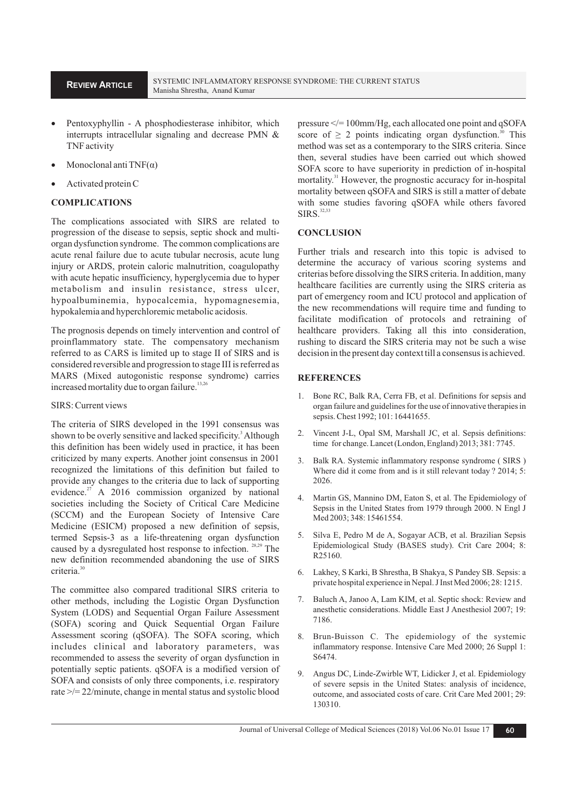- Pentoxyphyllin A phosphodiesterase inhibitor, which interrupts intracellular signaling and decrease PMN & TNF activity
- Monoclonal anti  $TNF(\alpha)$
- Activated protein C

# **COMPLICATIONS**

The complications associated with SIRS are related to progression of the disease to sepsis, septic shock and multiorgan dysfunction syndrome. The common complications are acute renal failure due to acute tubular necrosis, acute lung injury or ARDS, protein caloric malnutrition, coagulopathy with acute hepatic insufficiency, hyperglycemia due to hyper metabolism and insulin resistance, stress ulcer, hypoalbuminemia, hypocalcemia, hypomagnesemia, hypokalemia and hyperchloremic metabolic acidosis.

The prognosis depends on timely intervention and control of proinflammatory state. The compensatory mechanism referred to as CARS is limited up to stage II of SIRS and is considered reversible and progression to stage III is referred as MARS (Mixed autogonistic response syndrome) carries increased mortality due to organ failure.<sup>13,2</sup>

# SIRS: Current views

The criteria of SIRS developed in the 1991 consensus was shown to be overly sensitive and lacked specificity.<sup>3</sup> Although this definition has been widely used in practice, it has been criticized by many experts. Another joint consensus in 2001 recognized the limitations of this definition but failed to provide any changes to the criteria due to lack of supporting evidence. $27$  A 2016 commission organized by national societies including the Society of Critical Care Medicine (SCCM) and the European Society of Intensive Care Medicine (ESICM) proposed a new definition of sepsis, termed Sepsis-3 as a life-threatening organ dysfunction caused by a dysregulated host response to infection.  $28,29$  The new definition recommended abandoning the use of SIRS criteria.<sup>30</sup>

The committee also compared traditional SIRS criteria to other methods, including the Logistic Organ Dysfunction System (LODS) and Sequential Organ Failure Assessment (SOFA) scoring and Quick Sequential Organ Failure Assessment scoring (qSOFA). The SOFA scoring, which includes clinical and laboratory parameters, was recommended to assess the severity of organ dysfunction in potentially septic patients. qSOFA is a modified version of SOFA and consists of only three components, i.e. respiratory rate >/= 22/minute, change in mental status and systolic blood

pressure </= 100mm/Hg, each allocated one point and qSOFA score of  $\geq 2$  points indicating organ dysfunction.<sup>30</sup> This method was set as a contemporary to the SIRS criteria. Since then, several studies have been carried out which showed SOFA score to have superiority in prediction of in-hospital mortality.<sup>31</sup> However, the prognostic accuracy for in-hospital mortality between qSOFA and SIRS is still a matter of debate with some studies favoring qSOFA while others favored  $SIRS.<sup>32,33</sup>$ 

# **CONCLUSION**

Further trials and research into this topic is advised to determine the accuracy of various scoring systems and criterias before dissolving the SIRS criteria. In addition, many healthcare facilities are currently using the SIRS criteria as part of emergency room and ICU protocol and application of the new recommendations will require time and funding to facilitate modification of protocols and retraining of healthcare providers. Taking all this into consideration, rushing to discard the SIRS criteria may not be such a wise decision in the present day context till a consensus is achieved.

# **REFERENCES**

- 1. Bone RC, Balk RA, Cerra FB, et al. Definitions for sepsis and organ failure and guidelines for the use of innovative therapies in sepsis. Chest 1992; 101: 16441655.
- 2. Vincent J-L, Opal SM, Marshall JC, et al. Sepsis definitions: time for change. Lancet (London, England) 2013; 381: 7745.
- 3. Balk RA. Systemic inflammatory response syndrome ( SIRS ) Where did it come from and is it still relevant today ? 2014; 5: 2026.
- 4. Martin GS, Mannino DM, Eaton S, et al. The Epidemiology of Sepsis in the United States from 1979 through 2000. N Engl J Med 2003; 348: 15461554.
- 5. Silva E, Pedro M de A, Sogayar ACB, et al. Brazilian Sepsis Epidemiological Study (BASES study). Crit Care 2004; 8: R25160.
- 6. Lakhey, S Karki, B Shrestha, B Shakya, S Pandey SB. Sepsis: a private hospital experience in Nepal. J Inst Med 2006; 28: 1215.
- 7. Baluch A, Janoo A, Lam KIM, et al. Septic shock: Review and anesthetic considerations. Middle East J Anesthesiol 2007; 19: 7186.
- 8. Brun-Buisson C. The epidemiology of the systemic inflammatory response. Intensive Care Med 2000; 26 Suppl 1: S6474.
- 9. Angus DC, Linde-Zwirble WT, Lidicker J, et al. Epidemiology of severe sepsis in the United States: analysis of incidence, outcome, and associated costs of care. Crit Care Med 2001; 29: 130310.